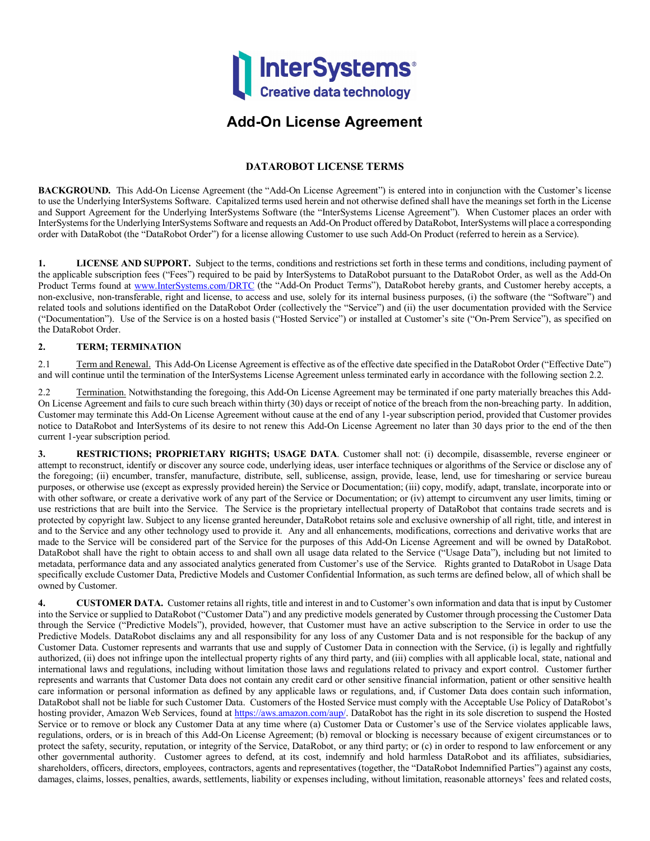

## **Add-On License Agreement**

## **DATAROBOT LICENSE TERMS**

**BACKGROUND.** This Add-On License Agreement (the "Add-On License Agreement") is entered into in conjunction with the Customer's license to use the Underlying InterSystems Software. Capitalized terms used herein and not otherwise defined shall have the meanings set forth in the License and Support Agreement for the Underlying InterSystems Software (the "InterSystems License Agreement"). When Customer places an order with InterSystems for the Underlying InterSystems Software and requests an Add-On Product offered by DataRobot, InterSystems will place a corresponding order with DataRobot (the "DataRobot Order") for a license allowing Customer to use such Add-On Product (referred to herein as a Service).

**1. LICENSE AND SUPPORT.** Subject to the terms, conditions and restrictions set forth in these terms and conditions, including payment of the applicable subscription fees ("Fees") required to be paid by InterSystems to DataRobot pursuant to the DataRobot Order, as well as the Add-On Product Terms found at [www.InterSystems.com/DRTC](http://www.intersystems.com/DRTC) (the "Add-On Product Terms"), DataRobot hereby grants, and Customer hereby accepts, a non-exclusive, non-transferable, right and license, to access and use, solely for its internal business purposes, (i) the software (the "Software") and related tools and solutions identified on the DataRobot Order (collectively the "Service") and (ii) the user documentation provided with the Service ("Documentation"). Use of the Service is on a hosted basis ("Hosted Service") or installed at Customer's site ("On-Prem Service"), as specified on the DataRobot Order.

## **2. TERM; TERMINATION**

2.1 Term and Renewal. This Add-On License Agreement is effective as of the effective date specified in the DataRobot Order ("Effective Date") and will continue until the termination of the InterSystems License Agreement unless terminated early in accordance with the following section 2.2.

2.2 Termination. Notwithstanding the foregoing, this Add-On License Agreement may be terminated if one party materially breaches this Add-On License Agreement and fails to cure such breach within thirty (30) days or receipt of notice of the breach from the non-breaching party. In addition, Customer may terminate this Add-On License Agreement without cause at the end of any 1-year subscription period, provided that Customer provides notice to DataRobot and InterSystems of its desire to not renew this Add-On License Agreement no later than 30 days prior to the end of the then current 1-year subscription period.

**3. RESTRICTIONS; PROPRIETARY RIGHTS; USAGE DATA**. Customer shall not: (i) decompile, disassemble, reverse engineer or attempt to reconstruct, identify or discover any source code, underlying ideas, user interface techniques or algorithms of the Service or disclose any of the foregoing; (ii) encumber, transfer, manufacture, distribute, sell, sublicense, assign, provide, lease, lend, use for timesharing or service bureau purposes, or otherwise use (except as expressly provided herein) the Service or Documentation; (iii) copy, modify, adapt, translate, incorporate into or with other software, or create a derivative work of any part of the Service or Documentation; or (iv) attempt to circumvent any user limits, timing or use restrictions that are built into the Service. The Service is the proprietary intellectual property of DataRobot that contains trade secrets and is protected by copyright law. Subject to any license granted hereunder, DataRobot retains sole and exclusive ownership of all right, title, and interest in and to the Service and any other technology used to provide it. Any and all enhancements, modifications, corrections and derivative works that are made to the Service will be considered part of the Service for the purposes of this Add-On License Agreement and will be owned by DataRobot. DataRobot shall have the right to obtain access to and shall own all usage data related to the Service ("Usage Data"), including but not limited to metadata, performance data and any associated analytics generated from Customer's use of the Service. Rights granted to DataRobot in Usage Data specifically exclude Customer Data, Predictive Models and Customer Confidential Information, as such terms are defined below, all of which shall be owned by Customer.

**4. CUSTOMER DATA.** Customer retains all rights, title and interest in and to Customer's own information and data that is input by Customer into the Service or supplied to DataRobot ("Customer Data") and any predictive models generated by Customer through processing the Customer Data through the Service ("Predictive Models"), provided, however, that Customer must have an active subscription to the Service in order to use the Predictive Models. DataRobot disclaims any and all responsibility for any loss of any Customer Data and is not responsible for the backup of any Customer Data. Customer represents and warrants that use and supply of Customer Data in connection with the Service, (i) is legally and rightfully authorized, (ii) does not infringe upon the intellectual property rights of any third party, and (iii) complies with all applicable local, state, national and international laws and regulations, including without limitation those laws and regulations related to privacy and export control. Customer further represents and warrants that Customer Data does not contain any credit card or other sensitive financial information, patient or other sensitive health care information or personal information as defined by any applicable laws or regulations, and, if Customer Data does contain such information, DataRobot shall not be liable for such Customer Data. Customers of the Hosted Service must comply with the Acceptable Use Policy of DataRobot's hosting provider, Amazon Web Services, found at [https://aws.amazon.com/aup/.](https://aws.amazon.com/aup/) DataRobot has the right in its sole discretion to suspend the Hosted Service or to remove or block any Customer Data at any time where (a) Customer Data or Customer's use of the Service violates applicable laws, regulations, orders, or is in breach of this Add-On License Agreement; (b) removal or blocking is necessary because of exigent circumstances or to protect the safety, security, reputation, or integrity of the Service, DataRobot, or any third party; or (c) in order to respond to law enforcement or any other governmental authority. Customer agrees to defend, at its cost, indemnify and hold harmless DataRobot and its affiliates, subsidiaries, shareholders, officers, directors, employees, contractors, agents and representatives (together, the "DataRobot Indemnified Parties") against any costs, damages, claims, losses, penalties, awards, settlements, liability or expenses including, without limitation, reasonable attorneys' fees and related costs,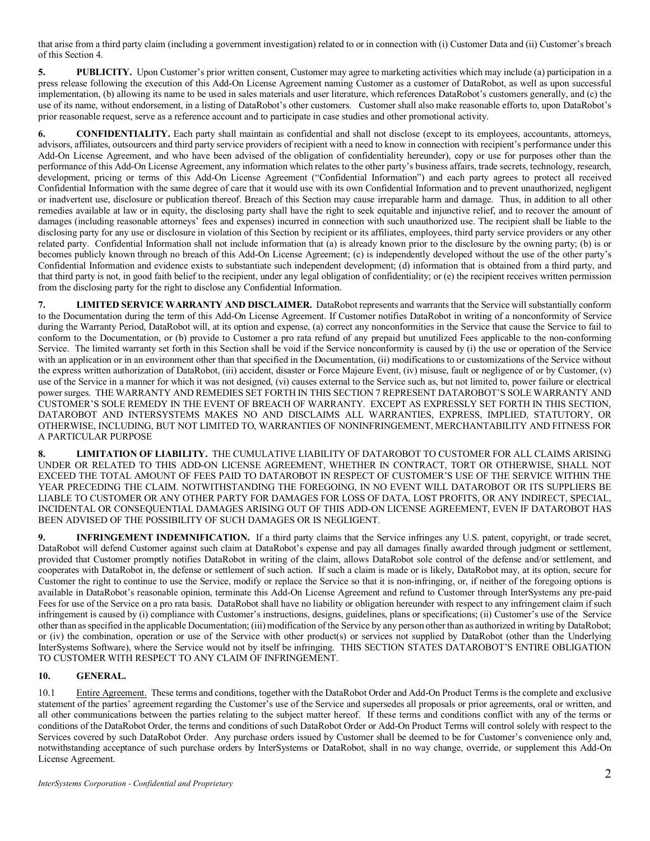that arise from a third party claim (including a government investigation) related to or in connection with (i) Customer Data and (ii) Customer's breach of this Section 4.

**5. PUBLICITY.** Upon Customer's prior written consent, Customer may agree to marketing activities which may include (a) participation in a press release following the execution of this Add-On License Agreement naming Customer as a customer of DataRobot, as well as upon successful implementation, (b) allowing its name to be used in sales materials and user literature, which references DataRobot's customers generally, and (c) the use of its name, without endorsement, in a listing of DataRobot's other customers. Customer shall also make reasonable efforts to, upon DataRobot's prior reasonable request, serve as a reference account and to participate in case studies and other promotional activity.

**6. CONFIDENTIALITY.** Each party shall maintain as confidential and shall not disclose (except to its employees, accountants, attorneys, advisors, affiliates, outsourcers and third party service providers of recipient with a need to know in connection with recipient's performance under this Add-On License Agreement, and who have been advised of the obligation of confidentiality hereunder), copy or use for purposes other than the performance of this Add-On License Agreement, any information which relates to the other party's business affairs, trade secrets, technology, research, development, pricing or terms of this Add-On License Agreement ("Confidential Information") and each party agrees to protect all received Confidential Information with the same degree of care that it would use with its own Confidential Information and to prevent unauthorized, negligent or inadvertent use, disclosure or publication thereof. Breach of this Section may cause irreparable harm and damage. Thus, in addition to all other remedies available at law or in equity, the disclosing party shall have the right to seek equitable and injunctive relief, and to recover the amount of damages (including reasonable attorneys' fees and expenses) incurred in connection with such unauthorized use. The recipient shall be liable to the disclosing party for any use or disclosure in violation of this Section by recipient or its affiliates, employees, third party service providers or any other related party. Confidential Information shall not include information that (a) is already known prior to the disclosure by the owning party; (b) is or becomes publicly known through no breach of this Add-On License Agreement; (c) is independently developed without the use of the other party's Confidential Information and evidence exists to substantiate such independent development; (d) information that is obtained from a third party, and that third party is not, in good faith belief to the recipient, under any legal obligation of confidentiality; or (e) the recipient receives written permission from the disclosing party for the right to disclose any Confidential Information.

**7. LIMITED SERVICE WARRANTY AND DISCLAIMER.** DataRobot represents and warrants that the Service will substantially conform to the Documentation during the term of this Add-On License Agreement. If Customer notifies DataRobot in writing of a nonconformity of Service during the Warranty Period, DataRobot will, at its option and expense, (a) correct any nonconformities in the Service that cause the Service to fail to conform to the Documentation, or (b) provide to Customer a pro rata refund of any prepaid but unutilized Fees applicable to the non-conforming Service. The limited warranty set forth in this Section shall be void if the Service nonconformity is caused by (i) the use or operation of the Service with an application or in an environment other than that specified in the Documentation, (ii) modifications to or customizations of the Service without the express written authorization of DataRobot, (iii) accident, disaster or Force Majeure Event, (iv) misuse, fault or negligence of or by Customer, (v) use of the Service in a manner for which it was not designed, (vi) causes external to the Service such as, but not limited to, power failure or electrical power surges.THE WARRANTY AND REMEDIES SET FORTH IN THIS SECTION 7 REPRESENT DATAROBOT'S SOLE WARRANTY AND CUSTOMER'S SOLE REMEDY IN THE EVENT OF BREACH OF WARRANTY. EXCEPT AS EXPRESSLY SET FORTH IN THIS SECTION, DATAROBOT AND INTERSYSTEMS MAKES NO AND DISCLAIMS ALL WARRANTIES, EXPRESS, IMPLIED, STATUTORY, OR OTHERWISE, INCLUDING, BUT NOT LIMITED TO, WARRANTIES OF NONINFRINGEMENT, MERCHANTABILITY AND FITNESS FOR A PARTICULAR PURPOSE

**8. LIMITATION OF LIABILITY.** THE CUMULATIVE LIABILITY OF DATAROBOT TO CUSTOMER FOR ALL CLAIMS ARISING UNDER OR RELATED TO THIS ADD-ON LICENSE AGREEMENT, WHETHER IN CONTRACT, TORT OR OTHERWISE, SHALL NOT EXCEED THE TOTAL AMOUNT OF FEES PAID TO DATAROBOT IN RESPECT OF CUSTOMER'S USE OF THE SERVICE WITHIN THE YEAR PRECEDING THE CLAIM. NOTWITHSTANDING THE FOREGOING, IN NO EVENT WILL DATAROBOT OR ITS SUPPLIERS BE LIABLE TO CUSTOMER OR ANY OTHER PARTY FOR DAMAGES FOR LOSS OF DATA, LOST PROFITS, OR ANY INDIRECT, SPECIAL, INCIDENTAL OR CONSEQUENTIAL DAMAGES ARISING OUT OF THIS ADD-ON LICENSE AGREEMENT, EVEN IF DATAROBOT HAS BEEN ADVISED OF THE POSSIBILITY OF SUCH DAMAGES OR IS NEGLIGENT.

**9. INFRINGEMENT INDEMNIFICATION.** If a third party claims that the Service infringes any U.S. patent, copyright, or trade secret, DataRobot will defend Customer against such claim at DataRobot's expense and pay all damages finally awarded through judgment or settlement, provided that Customer promptly notifies DataRobot in writing of the claim, allows DataRobot sole control of the defense and/or settlement, and cooperates with DataRobot in, the defense or settlement of such action. If such a claim is made or is likely, DataRobot may, at its option, secure for Customer the right to continue to use the Service, modify or replace the Service so that it is non-infringing, or, if neither of the foregoing options is available in DataRobot's reasonable opinion, terminate this Add-On License Agreement and refund to Customer through InterSystems any pre-paid Fees for use of the Service on a pro rata basis. DataRobot shall have no liability or obligation hereunder with respect to any infringement claim if such infringement is caused by (i) compliance with Customer's instructions, designs, guidelines, plans or specifications; (ii) Customer's use of the Service other than as specified in the applicable Documentation; (iii) modification of the Service by any person other than as authorized in writing by DataRobot; or (iv) the combination, operation or use of the Service with other product(s) or services not supplied by DataRobot (other than the Underlying InterSystems Software), where the Service would not by itself be infringing. THIS SECTION STATES DATAROBOT'S ENTIRE OBLIGATION TO CUSTOMER WITH RESPECT TO ANY CLAIM OF INFRINGEMENT.

## **10. GENERAL.**

10.1 Entire Agreement.These terms and conditions, together with the DataRobot Order and Add-On Product Termsis the complete and exclusive statement of the parties' agreement regarding the Customer's use of the Service and supersedes all proposals or prior agreements, oral or written, and all other communications between the parties relating to the subject matter hereof. If these terms and conditions conflict with any of the terms or conditions of the DataRobot Order, the terms and conditions of such DataRobot Order or Add-On Product Terms will control solely with respect to the Services covered by such DataRobot Order. Any purchase orders issued by Customer shall be deemed to be for Customer's convenience only and, notwithstanding acceptance of such purchase orders by InterSystems or DataRobot, shall in no way change, override, or supplement this Add-On License Agreement.